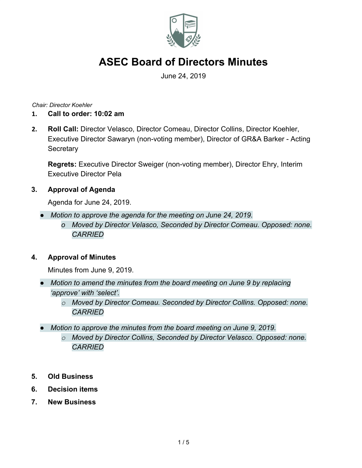

June 24, 2019

*Chair: Director Koehler*

- **1. Call to order: 10:02 am**
- **2. Roll Call:** Director Velasco, Director Comeau, Director Collins, Director Koehler, Executive Director Sawaryn (non-voting member), Director of GR&A Barker - Acting **Secretary**

**Regrets:** Executive Director Sweiger (non-voting member), Director Ehry, Interim Executive Director Pela

### **3. Approval of Agenda**

Agenda for June 24, 2019.

- *● Motion to approve the agenda for the meeting on June 24, 2019.*
	- *o Moved by Director Velasco, Seconded by Director Comeau. Opposed: none. CARRIED*

### **4. Approval of Minutes**

Minutes from June 9, 2019.

- *● Motion to amend the minutes from the board meeting on June 9 by replacing 'approve' with 'select'.*
	- *o Moved by Director Comeau. Seconded by Director Collins. Opposed: none. CARRIED*
- *● Motion to approve the minutes from the board meeting on June 9, 2019.*
	- *o Moved by Director Collins, Seconded by Director Velasco. Opposed: none. CARRIED*
- **5. Old Business**
- **6. Decision items**
- **7. New Business**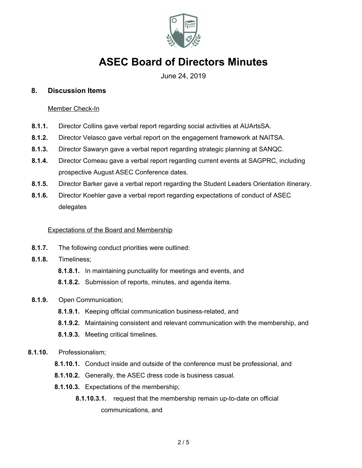

June 24, 2019

#### **8. Discussion Items**

#### Member Check-In

- **8.1.1.** Director Collins gave verbal report regarding social activities at AUArtsSA.
- **8.1.2.** Director Velasco gave verbal report on the engagement framework at NAITSA.
- **8.1.3.** Director Sawaryn gave a verbal report regarding strategic planning at SANQC.
- **8.1.4.** Director Comeau gave a verbal report regarding current events at SAGPRC, including prospective August ASEC Conference dates.
- **8.1.5.** Director Barker gave a verbal report regarding the Student Leaders Orientation itinerary.
- **8.1.6.** Director Koehler gave a verbal report regarding expectations of conduct of ASEC delegates

#### Expectations of the Board and Membership

- **8.1.7.** The following conduct priorities were outlined:
- **8.1.8.** Timeliness;
	- **8.1.8.1.** In maintaining punctuality for meetings and events, and
	- **8.1.8.2.** Submission of reports, minutes, and agenda items.
- **8.1.9.** Open Communication;
	- **8.1.9.1.** Keeping official communication business-related, and
	- **8.1.9.2.** Maintaining consistent and relevant communication with the membership, and
	- **8.1.9.3.** Meeting critical timelines.
- **8.1.10.** Professionalism;
	- **8.1.10.1.** Conduct inside and outside of the conference must be professional, and
	- **8.1.10.2.** Generally, the ASEC dress code is business casual.
	- **8.1.10.3.** Expectations of the membership;
		- **8.1.10.3.1.** request that the membership remain up-to-date on official communications, and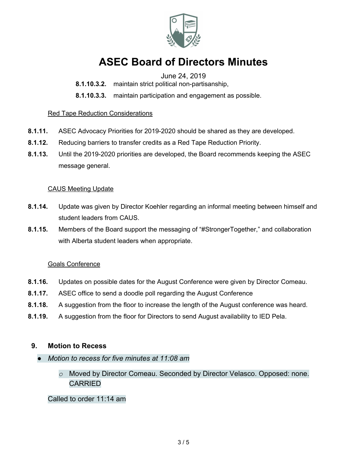

### June 24, 2019

- **8.1.10.3.2.** maintain strict political non-partisanship,
- **8.1.10.3.3.** maintain participation and engagement as possible.

#### Red Tape Reduction Considerations

- **8.1.11.** ASEC Advocacy Priorities for 2019-2020 should be shared as they are developed.
- **8.1.12.** Reducing barriers to transfer credits as a Red Tape Reduction Priority.
- **8.1.13.** Until the 2019-2020 priorities are developed, the Board recommends keeping the ASEC message general.

#### CAUS Meeting Update

- **8.1.14.** Update was given by Director Koehler regarding an informal meeting between himself and student leaders from CAUS.
- **8.1.15.** Members of the Board support the messaging of "#StrongerTogether," and collaboration with Alberta student leaders when appropriate.

#### Goals Conference

- **8.1.16.** Updates on possible dates for the August Conference were given by Director Comeau.
- **8.1.17.** ASEC office to send a doodle poll regarding the August Conference
- **8.1.18.** A suggestion from the floor to increase the length of the August conference was heard.
- **8.1.19.** A suggestion from the floor for Directors to send August availability to IED Pela.

#### **9. Motion to Recess**

- *● Motion to recess for five minutes at 11:08 am*
	- *o* Moved by Director Comeau. Seconded by Director Velasco. Opposed: none. CARRIED

Called to order 11:14 am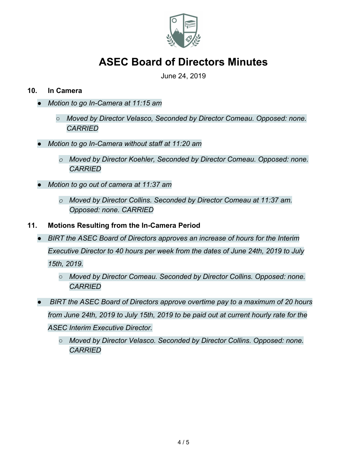

June 24, 2019

### **10. In Camera**

- *● Motion to go In-Camera at 11:15 am*
	- *○ Moved by Director Velasco, Seconded by Director Comeau. Opposed: none. CARRIED*
- *● Motion to go In-Camera without staff at 11:20 am*
	- *o Moved by Director Koehler, Seconded by Director Comeau. Opposed: none. CARRIED*
- *● Motion to go out of camera at 11:37 am*
	- *o Moved by Director Collins. Seconded by Director Comeau at 11:37 am. Opposed: none. CARRIED*
- **11. Motions Resulting from the In-Camera Period**
	- *● BIRT the ASEC Board of Directors approves an increase of hours for the Interim Executive Director to 40 hours per week from the dates of June 24th, 2019 to July 15th, 2019.*
		- *○ Moved by Director Comeau. Seconded by Director Collins. Opposed: none. CARRIED*
	- *BIRT the ASEC Board of Directors approve overtime pay to a maximum of 20 hours from June 24th, 2019 to July 15th, 2019 to be paid out at current hourly rate for the ASEC Interim Executive Director.*
		- *○ Moved by Director Velasco. Seconded by Director Collins. Opposed: none. CARRIED*